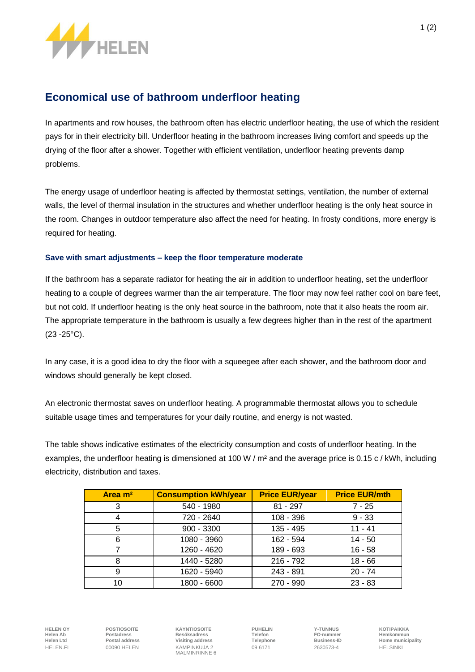

## **Economical use of bathroom underfloor heating**

In apartments and row houses, the bathroom often has electric underfloor heating, the use of which the resident pays for in their electricity bill. Underfloor heating in the bathroom increases living comfort and speeds up the drying of the floor after a shower. Together with efficient ventilation, underfloor heating prevents damp problems.

The energy usage of underfloor heating is affected by thermostat settings, ventilation, the number of external walls, the level of thermal insulation in the structures and whether underfloor heating is the only heat source in the room. Changes in outdoor temperature also affect the need for heating. In frosty conditions, more energy is required for heating.

## **Save with smart adjustments – keep the floor temperature moderate**

If the bathroom has a separate radiator for heating the air in addition to underfloor heating, set the underfloor heating to a couple of degrees warmer than the air temperature. The floor may now feel rather cool on bare feet, but not cold. If underfloor heating is the only heat source in the bathroom, note that it also heats the room air. The appropriate temperature in the bathroom is usually a few degrees higher than in the rest of the apartment (23 -25°C).

In any case, it is a good idea to dry the floor with a squeegee after each shower, and the bathroom door and windows should generally be kept closed.

An electronic thermostat saves on underfloor heating. A programmable thermostat allows you to schedule suitable usage times and temperatures for your daily routine, and energy is not wasted.

The table shows indicative estimates of the electricity consumption and costs of underfloor heating. In the examples, the underfloor heating is dimensioned at 100 W / m<sup>2</sup> and the average price is 0.15 c / kWh, including electricity, distribution and taxes.

| Area m <sup>2</sup> | <b>Consumption kWh/year</b> | <b>Price EUR/year</b> | <b>Price EUR/mth</b> |
|---------------------|-----------------------------|-----------------------|----------------------|
| 3                   | 540 - 1980                  | $81 - 297$            | $7 - 25$             |
| 4                   | 720 - 2640                  | 108 - 396             | $9 - 33$             |
| 5                   | $900 - 3300$                | 135 - 495             | $11 - 41$            |
| 6                   | 1080 - 3960                 | 162 - 594             | $14 - 50$            |
|                     | 1260 - 4620                 | 189 - 693             | $16 - 58$            |
| 8                   | 1440 - 5280                 | $216 - 792$           | $18 - 66$            |
| 9                   | 1620 - 5940                 | 243 - 891             | $20 - 74$            |
| 10                  | 1800 - 6600                 | 270 - 990             | $23 - 83$            |

**HELEN OY POSTIOSOITE KÄYNTIOSOITE PUHELIN Y-TUNNUS KOTIPAIKKA Helen Ab Postadress Besöksadress Telefon FO-nummer Hemkommun** HELEN.FI 00090 HELEN KAMPINKUJA 2 09 6171 2630573-4 HELSINKI MALMINRINNE 6

**Helen Ltd Postal address Visiting address Telephone Business-ID Home municipality**